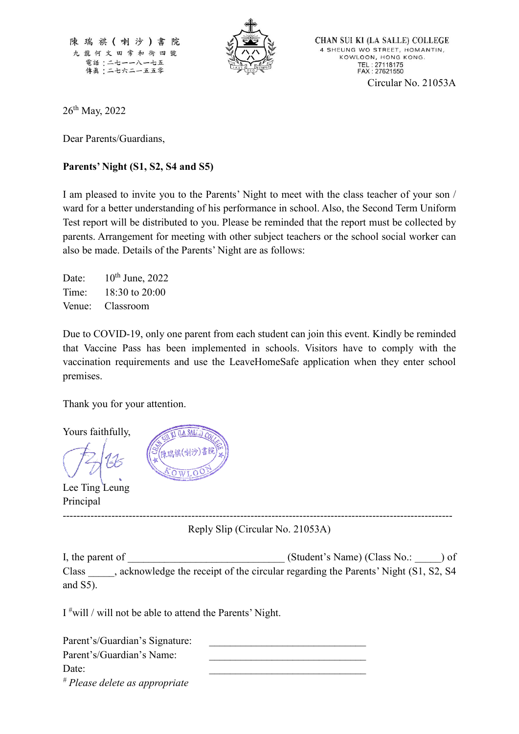陳瑞祺(喇沙)書 院 九龍何文田常和街四號 電話:二七一一八一七五 傳眞:二七六二一五五零



CHAN SUI KI (LA SALLE) COLLEGE 4 SHEUNG WO STREET, HOMANTIN, KOWLOON, HONG KONG. TEL: 27118175<br>FAX: 27621550 Circular No. 21053A

26<sup>th</sup> May, 2022

Dear Parents/Guardians,

## **Parents' Night (S1, S2, S4 and S5)**

I am pleased to invite you to the Parents' Night to meet with the class teacher of your son / ward for a better understanding of his performance in school. Also, the Second Term Uniform Test report will be distributed to you. Please be reminded that the report must be collected by parents. Arrangement for meeting with other subject teachers or the school social worker can also be made. Details of the Parents' Night are as follows:

Date:  $10^{th}$  June, 2022 Time: 18:30 to 20:00 Venue: Classroom

Due to COVID-19, only one parent from each student can join this event. Kindly be reminded that Vaccine Pass has been implemented in schools. Visitors have to comply with the vaccination requirements and use the LeaveHomeSafe application when they enter school premises.

Thank you for your attention.

Yours faithfully,

Lee Ting Leung Principal

 $(LA SALL)$ 

---------------------------------------------------------------------------------------------------------------- Reply Slip (Circular No. 21053A)

I, the parent of  $(Student's Name)$  (Class No.:  $)$  of Class \_\_\_\_\_, acknowledge the receipt of the circular regarding the Parents' Night (S1, S2, S4 and S5).

I #will / will not be able to attend the Parents' Night.

| Parent's/Guardian's Signature: |  |
|--------------------------------|--|
| Parent's/Guardian's Name:      |  |
| Date:                          |  |
| # Please delete as appropriate |  |